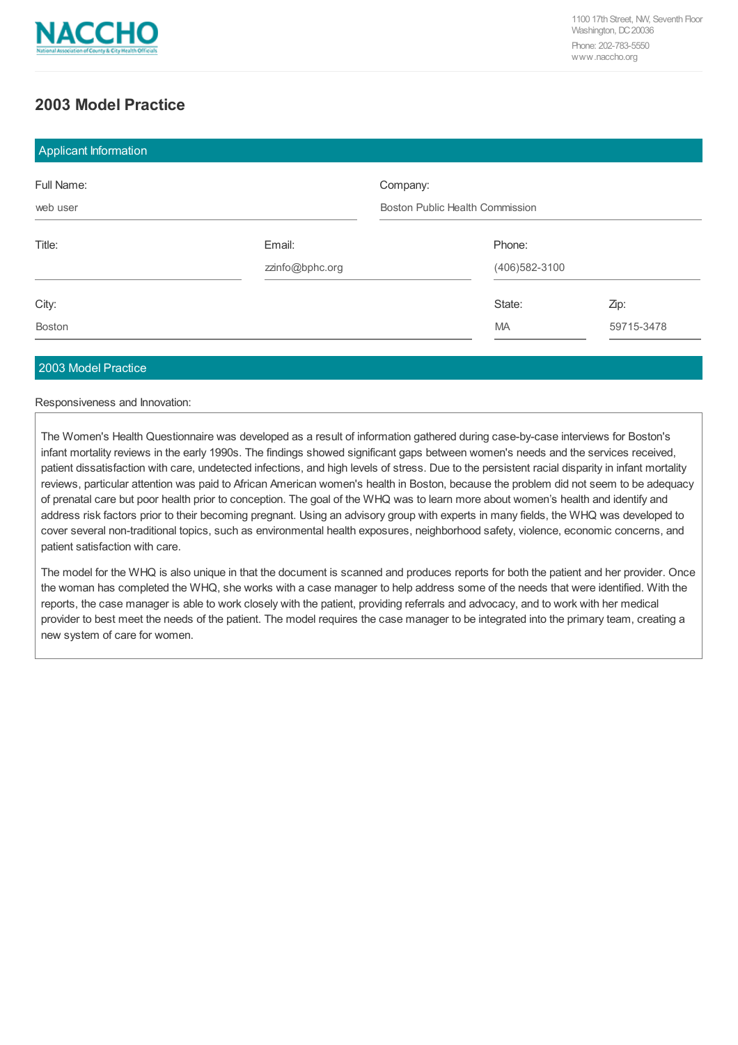

# **2003 Model Practice**

| <b>Applicant Information</b> |                 |                                        |                  |            |
|------------------------------|-----------------|----------------------------------------|------------------|------------|
| Full Name:                   |                 | Company:                               |                  |            |
| web user                     |                 | <b>Boston Public Health Commission</b> |                  |            |
| Title:                       | Email:          |                                        | Phone:           |            |
|                              | zzinfo@bphc.org |                                        | (406) 582 - 3100 |            |
| City:                        |                 |                                        | State:           | Zip:       |
| <b>Boston</b>                |                 |                                        | MA               | 59715-3478 |

## 2003 Model Practice

#### Responsiveness and Innovation:

The Women's Health Questionnaire was developed as a result of information gathered during case-by-case interviews for Boston's infant mortality reviews in the early 1990s. The findings showed significant gaps between women's needs and the services received, patient dissatisfaction with care, undetected infections, and high levels of stress. Due to the persistent racial disparity in infant mortality reviews, particular attention was paid to African American women's health in Boston, because the problem did not seem to be adequacy of prenatal care but poor health prior to conception. The goal of the WHQ was to learn more about women's health and identify and address risk factors prior to their becoming pregnant. Using an advisory group with experts in many fields, the WHQ was developed to cover several non-traditional topics, such as environmental health exposures, neighborhood safety, violence, economic concerns, and patient satisfaction with care.

The model for the WHQ is also unique in that the document is scanned and produces reports for both the patient and her provider. Once the woman has completed the WHQ, she works with a case manager to help address some of the needs that were identified. With the reports, the case manager is able to work closely with the patient, providing referrals and advocacy, and to work with her medical provider to best meet the needs of the patient. The model requires the case manager to be integrated into the primary team, creating a new system of care for women.